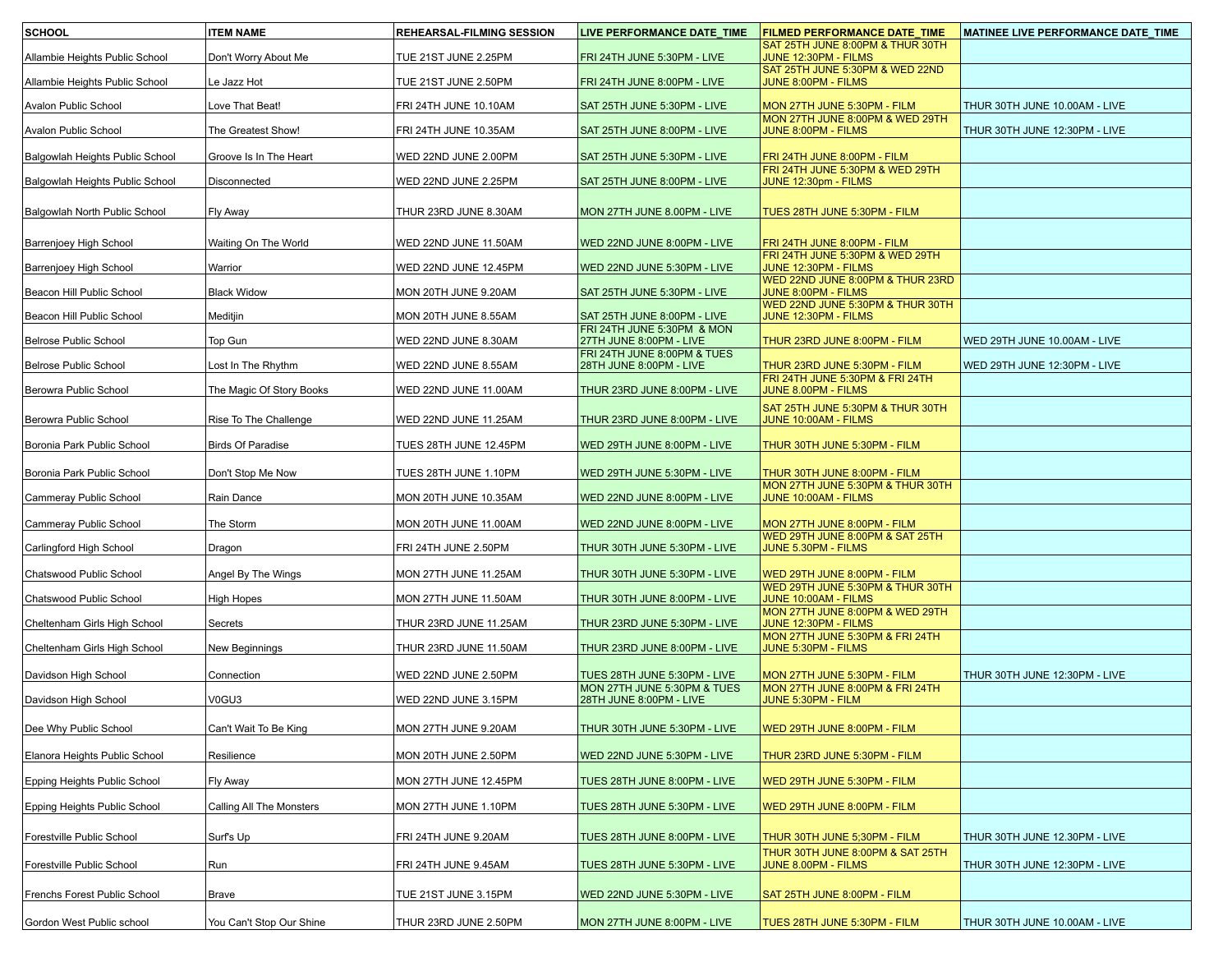| <b>SCHOOL</b>                   | <b>ITEM NAME</b>         | <b>REHEARSAL-FILMING SESSION</b> | LIVE PERFORMANCE DATE_TIME                             | <b>FILMED PERFORMANCE DATE_TIME</b>                            | MATINEE LIVE PERFORMANCE DATE_TIME |
|---------------------------------|--------------------------|----------------------------------|--------------------------------------------------------|----------------------------------------------------------------|------------------------------------|
| Allambie Heights Public School  | Don't Worry About Me     | TUE 21ST JUNE 2.25PM             | FRI 24TH JUNE 5:30PM - LIVE                            | SAT 25TH JUNE 8:00PM & THUR 30TH<br>JUNE 12:30PM - FILMS       |                                    |
| Allambie Heights Public School  | Le Jazz Hot              | TUE 21ST JUNE 2.50PM             | FRI 24TH JUNE 8:00PM - LIVE                            | SAT 25TH JUNE 5:30PM & WED 22ND<br>JUNE 8:00PM - FILMS         |                                    |
| Avalon Public School            | Love That Beat!          | FRI 24TH JUNE 10.10AM            | SAT 25TH JUNE 5:30PM - LIVE                            | MON 27TH JUNE 5:30PM - FILM                                    | THUR 30TH JUNE 10.00AM - LIVE      |
| Avalon Public School            | The Greatest Show!       | FRI 24TH JUNE 10.35AM            | SAT 25TH JUNE 8:00PM - LIVE                            | MON 27TH JUNE 8:00PM & WED 29TH<br>JUNE 8:00PM - FILMS         | THUR 30TH JUNE 12:30PM - LIVE      |
| Balgowlah Heights Public School | Groove Is In The Heart   | WED 22ND JUNE 2.00PM             | SAT 25TH JUNE 5:30PM - LIVE                            | FRI 24TH JUNE 8:00PM - FILM                                    |                                    |
| Balgowlah Heights Public School | Disconnected             | WED 22ND JUNE 2.25PM             | SAT 25TH JUNE 8:00PM - LIVE                            | FRI 24TH JUNE 5:30PM & WED 29TH<br>JUNE 12:30pm - FILMS        |                                    |
|                                 |                          |                                  |                                                        |                                                                |                                    |
| Balgowlah North Public School   | Fly Away                 | THUR 23RD JUNE 8.30AM            | MON 27TH JUNE 8.00PM - LIVE                            | TUES 28TH JUNE 5:30PM - FILM                                   |                                    |
| Barrenjoey High School          | Waiting On The World     | WED 22ND JUNE 11.50AM            | WED 22ND JUNE 8:00PM - LIVE                            | FRI 24TH JUNE 8:00PM - FILM<br>FRI 24TH JUNE 5:30PM & WED 29TH |                                    |
| Barrenjoey High School          | Warrior                  | WED 22ND JUNE 12.45PM            | WED 22ND JUNE 5:30PM - LIVE                            | JUNE 12:30PM - FILMS<br>WED 22ND JUNE 8:00PM & THUR 23RD       |                                    |
| Beacon Hill Public School       | <b>Black Widow</b>       | MON 20TH JUNE 9.20AM             | SAT 25TH JUNE 5:30PM - LIVE                            | JUNE 8:00PM - FILMS                                            |                                    |
| Beacon Hill Public School       | Meditjin                 | MON 20TH JUNE 8.55AM             | SAT 25TH JUNE 8:00PM - LIVE                            | WED 22ND JUNE 5:30PM & THUR 30TH<br>JUNE 12:30PM - FILMS       |                                    |
| Belrose Public School           | Top Gun                  | WED 22ND JUNE 8.30AM             | FRI 24TH JUNE 5:30PM & MON<br>27TH JUNE 8:00PM - LIVE  | THUR 23RD JUNE 8:00PM - FILM                                   | WED 29TH JUNE 10.00AM - LIVE       |
| Belrose Public School           | Lost In The Rhythm       | WED 22ND JUNE 8.55AM             | FRI 24TH JUNE 8:00PM & TUES<br>28TH JUNE 8:00PM - LIVE | THUR 23RD JUNE 5:30PM - FILM                                   | WED 29TH JUNE 12:30PM - LIVE       |
| Berowra Public School           | The Magic Of Story Books | WED 22ND JUNE 11.00AM            | THUR 23RD JUNE 8:00PM - LIVE                           | FRI 24TH JUNE 5:30PM & FRI 24TH<br>JUNE 8.00PM - FILMS         |                                    |
| Berowra Public School           | Rise To The Challenge    | WED 22ND JUNE 11.25AM            | THUR 23RD JUNE 8:00PM - LIVE                           | SAT 25TH JUNE 5:30PM & THUR 30TH<br>JUNE 10:00AM - FILMS       |                                    |
| Boronia Park Public School      | <b>Birds Of Paradise</b> | TUES 28TH JUNE 12.45PM           | WED 29TH JUNE 8:00PM - LIVE                            | THUR 30TH JUNE 5:30PM - FILM                                   |                                    |
| Boronia Park Public School      | Don't Stop Me Now        | TUES 28TH JUNE 1.10PM            | WED 29TH JUNE 5:30PM - LIVE                            | THUR 30TH JUNE 8:00PM - FILM                                   |                                    |
| Cammeray Public School          | Rain Dance               | MON 20TH JUNE 10.35AM            | WED 22ND JUNE 8:00PM - LIVE                            | MON 27TH JUNE 5:30PM & THUR 30TH<br>JUNE 10:00AM - FILMS       |                                    |
| Cammeray Public School          | The Storm                | MON 20TH JUNE 11.00AM            | WED 22ND JUNE 8:00PM - LIVE                            | MON 27TH JUNE 8:00PM - FILM                                    |                                    |
| Carlingford High School         | Dragon                   | FRI 24TH JUNE 2.50PM             | THUR 30TH JUNE 5:30PM - LIVE                           | WED 29TH JUNE 8:00PM & SAT 25TH<br>JUNE 5.30PM - FILMS         |                                    |
| Chatswood Public School         | Angel By The Wings       | MON 27TH JUNE 11.25AM            | THUR 30TH JUNE 5:30PM - LIVE                           | WED 29TH JUNE 8:00PM - FILM                                    |                                    |
| Chatswood Public School         | <b>High Hopes</b>        | MON 27TH JUNE 11.50AM            | THUR 30TH JUNE 8:00PM - LIVE                           | WED 29TH JUNE 5:30PM & THUR 30TH<br>JUNE 10:00AM - FILMS       |                                    |
| Cheltenham Girls High School    | Secrets                  | THUR 23RD JUNE 11.25AM           | THUR 23RD JUNE 5:30PM - LIVE                           | MON 27TH JUNE 8:00PM & WED 29TH<br>JUNE 12:30PM - FILMS        |                                    |
| Cheltenham Girls High School    | New Beginnings           | THUR 23RD JUNE 11.50AM           | THUR 23RD JUNE 8:00PM - LIVE                           | MON 27TH JUNE 5:30PM & FRI 24TH<br>JUNE 5:30PM - FILMS         |                                    |
| Davidson High School            | Connection               | WED 22ND JUNE 2.50PM             | TUES 28TH JUNE 5:30PM - LIVE                           | MON 27TH JUNE 5:30PM - FILM                                    | THUR 30TH JUNE 12:30PM - LIVE      |
| Davidson High School            | V0GU3                    | WED 22ND JUNE 3.15PM             | MON 27TH JUNE 5:30PM & TUES<br>28TH JUNE 8:00PM - LIVE | MON 27TH JUNE 8:00PM & FRI 24TH<br>JUNE 5:30PM - FILM          |                                    |
| Dee Why Public School           |                          |                                  |                                                        |                                                                |                                    |
|                                 | Can't Wait To Be King    | MON 27TH JUNE 9.20AM             | THUR 30TH JUNE 5:30PM - LIVE                           | WED 29TH JUNE 8:00PM - FILM                                    |                                    |
| Elanora Heights Public School   | Resilience               | MON 20TH JUNE 2.50PM             | WED 22ND JUNE 5:30PM - LIVE                            | THUR 23RD JUNE 5:30PM - FILM                                   |                                    |
| Epping Heights Public School    | Fly Away                 | MON 27TH JUNE 12.45PM            | TUES 28TH JUNE 8:00PM - LIVE                           | WED 29TH JUNE 5:30PM - FILM                                    |                                    |
| Epping Heights Public School    | Calling All The Monsters | MON 27TH JUNE 1.10PM             | TUES 28TH JUNE 5:30PM - LIVE                           | WED 29TH JUNE 8:00PM - FILM                                    |                                    |
| Forestville Public School       | Surf's Up                | FRI 24TH JUNE 9.20AM             | TUES 28TH JUNE 8:00PM - LIVE                           | THUR 30TH JUNE 5;30PM - FILM                                   | THUR 30TH JUNE 12.30PM - LIVE      |
| Forestville Public School       | Run                      | FRI 24TH JUNE 9.45AM             | TUES 28TH JUNE 5:30PM - LIVE                           | THUR 30TH JUNE 8:00PM & SAT 25TH<br>JUNE 8.00PM - FILMS        | THUR 30TH JUNE 12:30PM - LIVE      |
| Frenchs Forest Public School    | <b>Brave</b>             | TUE 21ST JUNE 3.15PM             | WED 22ND JUNE 5:30PM - LIVE                            | SAT 25TH JUNE 8:00PM - FILM                                    |                                    |
| Gordon West Public school       | You Can't Stop Our Shine | THUR 23RD JUNE 2.50PM            | MON 27TH JUNE 8:00PM - LIVE                            | TUES 28TH JUNE 5:30PM - FILM                                   | THUR 30TH JUNE 10.00AM - LIVE      |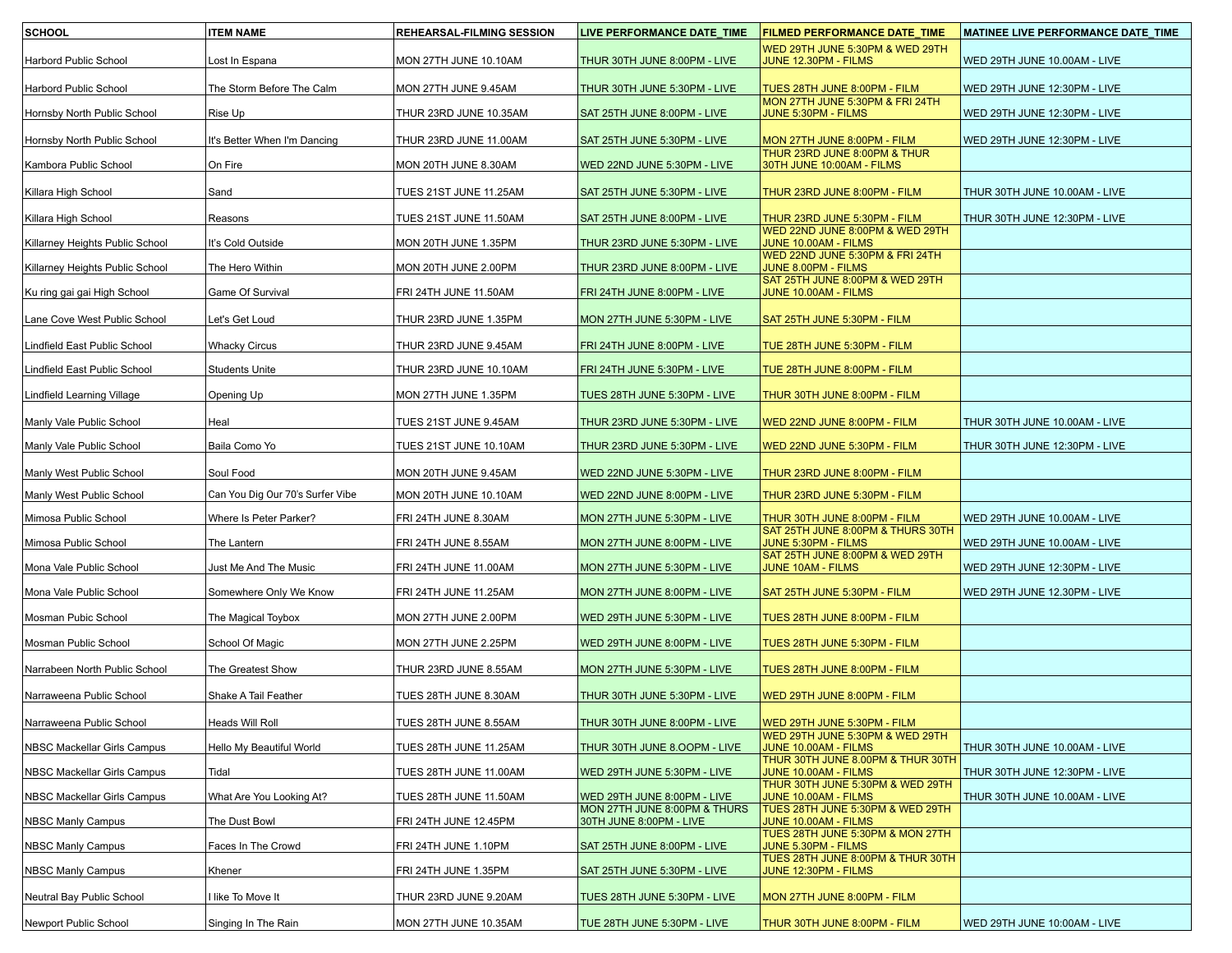| <b>SCHOOL</b>                   | <b>ITEM NAME</b>                 | REHEARSAL-FILMING SESSION | LIVE PERFORMANCE DATE_TIME                              | <b>FILMED PERFORMANCE DATE_TIME</b>                         | MATINEE LIVE PERFORMANCE DATE_TIME |
|---------------------------------|----------------------------------|---------------------------|---------------------------------------------------------|-------------------------------------------------------------|------------------------------------|
| Harbord Public School           | Lost In Espana                   | MON 27TH JUNE 10.10AM     | THUR 30TH JUNE 8:00PM - LIVE                            | WED 29TH JUNE 5:30PM & WED 29TH<br>JUNE 12.30PM - FILMS     | WED 29TH JUNE 10.00AM - LIVE       |
| Harbord Public School           | The Storm Before The Calm        | MON 27TH JUNE 9.45AM      | THUR 30TH JUNE 5:30PM - LIVE                            | TUES 28TH JUNE 8:00PM - FILM                                | WED 29TH JUNE 12:30PM - LIVE       |
| Hornsby North Public School     | Rise Up                          | THUR 23RD JUNE 10.35AM    | SAT 25TH JUNE 8:00PM - LIVE                             | MON 27TH JUNE 5:30PM & FRI 24TH<br>JUNE 5:30PM - FILMS      | WED 29TH JUNE 12:30PM - LIVE       |
| Hornsby North Public School     | It's Better When I'm Dancing     | THUR 23RD JUNE 11.00AM    | SAT 25TH JUNE 5:30PM - LIVE                             | MON 27TH JUNE 8:00PM - FILM                                 | WED 29TH JUNE 12:30PM - LIVE       |
| Kambora Public School           | On Fire                          | MON 20TH JUNE 8.30AM      | WED 22ND JUNE 5:30PM - LIVE                             | THUR 23RD JUNE 8:00PM & THUR<br>30TH JUNE 10:00AM - FILMS   |                                    |
| Killara High School             | Sand                             | TUES 21ST JUNE 11.25AM    | SAT 25TH JUNE 5:30PM - LIVE                             | THUR 23RD JUNE 8:00PM - FILM                                | THUR 30TH JUNE 10.00AM - LIVE      |
| Killara High School             | Reasons                          | TUES 21ST JUNE 11.50AM    | SAT 25TH JUNE 8:00PM - LIVE                             | THUR 23RD JUNE 5:30PM - FILM                                | THUR 30TH JUNE 12:30PM - LIVE      |
| Killarney Heights Public School | It's Cold Outside                | MON 20TH JUNE 1.35PM      | THUR 23RD JUNE 5:30PM - LIVE                            | WED 22ND JUNE 8:00PM & WED 29TH<br>JUNE 10.00AM - FILMS     |                                    |
| Killarney Heights Public School | The Hero Within                  | MON 20TH JUNE 2.00PM      | THUR 23RD JUNE 8:00PM - LIVE                            | WED 22ND JUNE 5:30PM & FRI 24TH<br>JUNE 8.00PM - FILMS      |                                    |
| Ku ring gai gai High School     | Game Of Survival                 | FRI 24TH JUNE 11.50AM     | FRI 24TH JUNE 8:00PM - LIVE                             | SAT 25TH JUNE 8:00PM & WED 29TH<br>JUNE 10.00AM - FILMS     |                                    |
| Lane Cove West Public School    | Let's Get Loud                   | THUR 23RD JUNE 1.35PM     | MON 27TH JUNE 5:30PM - LIVE                             | SAT 25TH JUNE 5:30PM - FILM                                 |                                    |
| Lindfield East Public School    | <b>Whacky Circus</b>             | THUR 23RD JUNE 9.45AM     | FRI 24TH JUNE 8:00PM - LIVE                             | TUE 28TH JUNE 5:30PM - FILM                                 |                                    |
| Lindfield East Public School    | <b>Students Unite</b>            | THUR 23RD JUNE 10.10AM    | FRI 24TH JUNE 5:30PM - LIVE                             | TUE 28TH JUNE 8:00PM - FILM                                 |                                    |
| Lindfield Learning Village      | Opening Up                       | MON 27TH JUNE 1.35PM      | TUES 28TH JUNE 5:30PM - LIVE                            | <u>THUR 30TH JUNE 8:00PM - FILM</u>                         |                                    |
| Manly Vale Public School        | Heal                             | TUES 21ST JUNE 9.45AM     | THUR 23RD JUNE 5:30PM - LIVE                            | WED 22ND JUNE 8:00PM - FILM                                 | THUR 30TH JUNE 10.00AM - LIVE      |
| Manly Vale Public School        | Baila Como Yo                    | TUES 21ST JUNE 10.10AM    | THUR 23RD JUNE 5:30PM - LIVE                            | WED 22ND JUNE 5:30PM - FILM                                 | THUR 30TH JUNE 12:30PM - LIVE      |
| Manly West Public School        | Soul Food                        | MON 20TH JUNE 9.45AM      | WED 22ND JUNE 5:30PM - LIVE                             | THUR 23RD JUNE 8:00PM - FILM                                |                                    |
| Manly West Public School        | Can You Dig Our 70's Surfer Vibe | MON 20TH JUNE 10.10AM     | WED 22ND JUNE 8:00PM - LIVE                             | THUR 23RD JUNE 5:30PM - FILM                                |                                    |
| Mimosa Public School            | Where Is Peter Parker?           | FRI 24TH JUNE 8.30AM      | MON 27TH JUNE 5:30PM - LIVE                             | THUR 30TH JUNE 8:00PM - FILM                                | WED 29TH JUNE 10.00AM - LIVE       |
| Mimosa Public School            | The Lantern                      | FRI 24TH JUNE 8.55AM      | MON 27TH JUNE 8:00PM - LIVE                             | SAT 25TH JUNE 8:00PM & THURS 30TH<br>JUNE 5:30PM - FILMS    | WED 29TH JUNE 10.00AM - LIVE       |
| Mona Vale Public School         | Just Me And The Music            | FRI 24TH JUNE 11.00AM     | MON 27TH JUNE 5:30PM - LIVE                             | SAT 25TH JUNE 8:00PM & WED 29TH<br><b>JUNE 10AM - FILMS</b> | WED 29TH JUNE 12:30PM - LIVE       |
| Mona Vale Public School         | Somewhere Only We Know           | FRI 24TH JUNE 11.25AM     | MON 27TH JUNE 8:00PM - LIVE                             | SAT 25TH JUNE 5:30PM - FILM                                 | WED 29TH JUNE 12.30PM - LIVE       |
| Mosman Pubic School             | The Magical Toybox               | MON 27TH JUNE 2.00PM      | WED 29TH JUNE 5:30PM - LIVE                             | TUES 28TH JUNE 8:00PM - FILM                                |                                    |
| Mosman Public School            | School Of Magic                  | MON 27TH JUNE 2.25PM      | WED 29TH JUNE 8:00PM - LIVE                             | TUES 28TH JUNE 5:30PM - FILM                                |                                    |
| Narrabeen North Public School   | The Greatest Show                | THUR 23RD JUNE 8.55AM     | MON 27TH JUNE 5:30PM - LIVE                             | TUES 28TH JUNE 8:00PM - FILM                                |                                    |
| Narraweena Public School        | Shake A Tail Feather             | TUES 28TH JUNE 8.30AM     | THUR 30TH JUNE 5:30PM - LIVE                            | WED 29TH JUNE 8:00PM - FILM                                 |                                    |
| Narraweena Public School        | Heads Will Roll                  | TUES 28TH JUNE 8.55AM     | THUR 30TH JUNE 8:00PM - LIVE                            | WED 29TH JUNE 5:30PM - FILM                                 |                                    |
| NBSC Mackellar Girls Campus     | Hello My Beautiful World         | TUES 28TH JUNE 11.25AM    | THUR 30TH JUNE 8.OOPM - LIVE                            | WED 29TH JUNE 5:30PM & WED 29TH<br>JUNE 10.00AM - FILMS     | THUR 30TH JUNE 10.00AM - LIVE      |
| NBSC Mackellar Girls Campus     | Tidal                            | TUES 28TH JUNE 11.00AM    | WED 29TH JUNE 5:30PM - LIVE                             | THUR 30TH JUNE 8.00PM & THUR 30TH<br>JUNE 10.00AM - FILMS   | THUR 30TH JUNE 12:30PM - LIVE      |
| NBSC Mackellar Girls Campus     | What Are You Looking At?         | TUES 28TH JUNE 11.50AM    | WED 29TH JUNE 8:00PM - LIVE                             | THUR 30TH JUNE 5:30PM & WED 29TH<br>JUNE 10.00AM - FILMS    | THUR 30TH JUNE 10.00AM - LIVE      |
| NBSC Manly Campus               | The Dust Bowl                    | FRI 24TH JUNE 12.45PM     | MON 27TH JUNE 8:00PM & THURS<br>30TH JUNE 8:00PM - LIVE | TUES 28TH JUNE 5:30PM & WED 29TH<br>JUNE 10.00AM - FILMS    |                                    |
| <b>NBSC Manly Campus</b>        | Faces In The Crowd               | FRI 24TH JUNE 1.10PM      | SAT 25TH JUNE 8:00PM - LIVE                             | TUES 28TH JUNE 5:30PM & MON 27TH<br>JUNE 5.30PM - FILMS     |                                    |
| NBSC Manly Campus               | Khener                           | FRI 24TH JUNE 1.35PM      | SAT 25TH JUNE 5:30PM - LIVE                             | TUES 28TH JUNE 8:00PM & THUR 30TH<br>JUNE 12:30PM - FILMS   |                                    |
| Neutral Bay Public School       | like To Move It                  | THUR 23RD JUNE 9.20AM     | TUES 28TH JUNE 5:30PM - LIVE                            | MON 27TH JUNE 8:00PM - FILM                                 |                                    |
| Newport Public School           | Singing In The Rain              | MON 27TH JUNE 10.35AM     | TUE 28TH JUNE 5:30PM - LIVE                             | THUR 30TH JUNE 8:00PM - FILM                                | WED 29TH JUNE 10:00AM - LIVE       |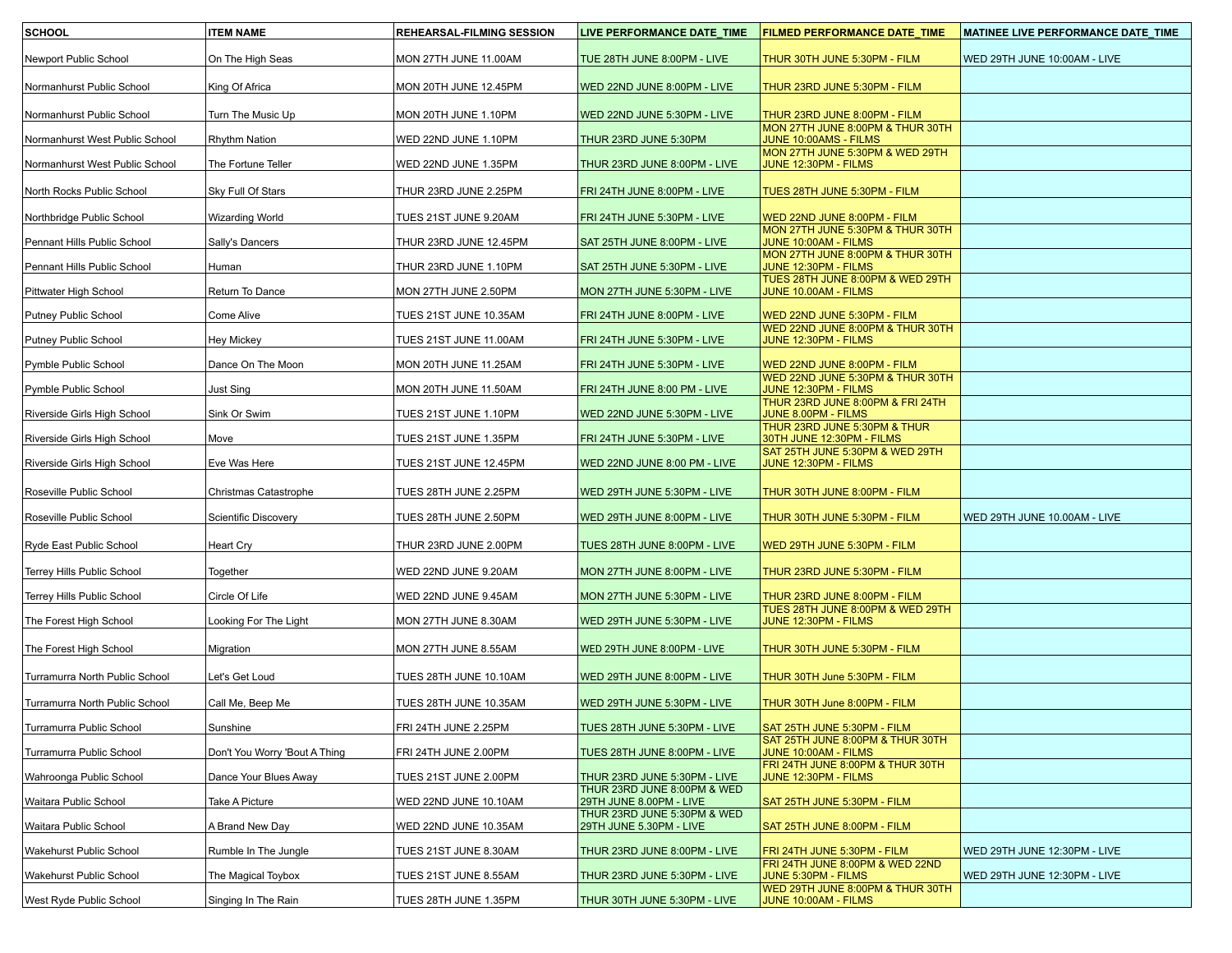| <b>SCHOOL</b>                                            | <b>ITEM NAME</b>              | <b>REHEARSAL-FILMING SESSION</b>                | LIVE PERFORMANCE DATE_TIME                                  | <b>FILMED PERFORMANCE DATE_TIME</b>                                             | MATINEE LIVE PERFORMANCE DATE_TIME |
|----------------------------------------------------------|-------------------------------|-------------------------------------------------|-------------------------------------------------------------|---------------------------------------------------------------------------------|------------------------------------|
| Newport Public School                                    | On The High Seas              | MON 27TH JUNE 11.00AM                           | TUE 28TH JUNE 8:00PM - LIVE                                 | THUR 30TH JUNE 5:30PM - FILM                                                    | WED 29TH JUNE 10:00AM - LIVE       |
| Normanhurst Public School                                | King Of Africa                | MON 20TH JUNE 12.45PM                           | WED 22ND JUNE 8:00PM - LIVE                                 | THUR 23RD JUNE 5:30PM - FILM                                                    |                                    |
| Normanhurst Public School                                | Turn The Music Up             | MON 20TH JUNE 1.10PM                            | WED 22ND JUNE 5:30PM - LIVE                                 | THUR 23RD JUNE 8:00PM - FILM                                                    |                                    |
| Normanhurst West Public School                           | <b>Rhythm Nation</b>          | WED 22ND JUNE 1.10PM                            | THUR 23RD JUNE 5:30PM                                       | MON 27TH JUNE 8:00PM & THUR 30TH<br>JUNE 10:00AMS - FILMS                       |                                    |
| Normanhurst West Public School                           | The Fortune Teller            | WED 22ND JUNE 1.35PM                            | THUR 23RD JUNE 8:00PM - LIVE                                | MON 27TH JUNE 5:30PM & WED 29TH<br>JUNE 12:30PM - FILMS                         |                                    |
| North Rocks Public School                                | Sky Full Of Stars             | THUR 23RD JUNE 2.25PM                           | FRI 24TH JUNE 8:00PM - LIVE                                 | TUES 28TH JUNE 5:30PM - FILM                                                    |                                    |
|                                                          | <b>Wizarding World</b>        |                                                 |                                                             | WED 22ND JUNE 8:00PM - FILM                                                     |                                    |
| Northbridge Public School<br>Pennant Hills Public School | Sally's Dancers               | TUES 21ST JUNE 9.20AM<br>THUR 23RD JUNE 12.45PM | FRI 24TH JUNE 5:30PM - LIVE<br>SAT 25TH JUNE 8:00PM - LIVE  | MON 27TH JUNE 5:30PM & THUR 30TH<br>JUNE 10:00AM - FILMS                        |                                    |
| Pennant Hills Public School                              | Human                         | THUR 23RD JUNE 1.10PM                           | SAT 25TH JUNE 5:30PM - LIVE                                 | MON 27TH JUNE 8:00PM & THUR 30TH<br>JUNE 12:30PM - FILMS                        |                                    |
| Pittwater High School                                    | Return To Dance               | MON 27TH JUNE 2.50PM                            | MON 27TH JUNE 5:30PM - LIVE                                 | TUES 28TH JUNE 8:00PM & WED 29TH<br>JUNE 10.00AM - FILMS                        |                                    |
| Putney Public School                                     | Come Alive                    | TUES 21ST JUNE 10.35AM                          | FRI 24TH JUNE 8:00PM - LIVE                                 | WED 22ND JUNE 5:30PM - FILM                                                     |                                    |
| Putney Public School                                     | <b>Hey Mickey</b>             | TUES 21ST JUNE 11.00AM                          | FRI 24TH JUNE 5:30PM - LIVE                                 | WED 22ND JUNE 8:00PM & THUR 30TH<br>JUNE 12:30PM - FILMS                        |                                    |
|                                                          |                               |                                                 |                                                             |                                                                                 |                                    |
| Pymble Public School                                     | Dance On The Moon             | MON 20TH JUNE 11.25AM                           | FRI 24TH JUNE 5:30PM - LIVE                                 | WED 22ND JUNE 8:00PM - FILM<br>WED 22ND JUNE 5:30PM & THUR 30TH                 |                                    |
| Pymble Public School                                     | Just Sing<br>Sink Or Swim     | MON 20TH JUNE 11.50AM<br>TUES 21ST JUNE 1.10PM  | FRI 24TH JUNE 8:00 PM - LIVE<br>WED 22ND JUNE 5:30PM - LIVE | JUNE 12:30PM - FILMS<br>THUR 23RD JUNE 8:00PM & FRI 24TH<br>JUNE 8.00PM - FILMS |                                    |
| Riverside Girls High School                              |                               |                                                 |                                                             | THUR 23RD JUNE 5:30PM & THUR                                                    |                                    |
| Riverside Girls High School                              | Move                          | TUES 21ST JUNE 1.35PM                           | FRI 24TH JUNE 5:30PM - LIVE                                 | 30TH JUNE 12:30PM - FILMS<br>SAT 25TH JUNE 5:30PM & WED 29TH                    |                                    |
| Riverside Girls High School                              | Eve Was Here                  | TUES 21ST JUNE 12.45PM                          | WED 22ND JUNE 8:00 PM - LIVE                                | JUNE 12:30PM - FILMS                                                            |                                    |
| Roseville Public School                                  | Christmas Catastrophe         | TUES 28TH JUNE 2.25PM                           | WED 29TH JUNE 5:30PM - LIVE                                 | THUR 30TH JUNE 8:00PM - FILM                                                    |                                    |
| Roseville Public School                                  | <b>Scientific Discovery</b>   | TUES 28TH JUNE 2.50PM                           | WED 29TH JUNE 8:00PM - LIVE                                 | THUR 30TH JUNE 5:30PM - FILM                                                    | WED 29TH JUNE 10.00AM - LIVE       |
| Ryde East Public School                                  | Heart Cry                     | THUR 23RD JUNE 2.00PM                           | TUES 28TH JUNE 8:00PM - LIVE                                | WED 29TH JUNE 5:30PM - FILM                                                     |                                    |
| Terrey Hills Public School                               | Together                      | WED 22ND JUNE 9.20AM                            | MON 27TH JUNE 8:00PM - LIVE                                 | THUR 23RD JUNE 5:30PM - FILM                                                    |                                    |
| Terrey Hills Public School                               | Circle Of Life                | WED 22ND JUNE 9.45AM                            | MON 27TH JUNE 5:30PM - LIVE                                 | THUR 23RD JUNE 8:00PM - FILM                                                    |                                    |
| The Forest High School                                   | Looking For The Light         | MON 27TH JUNE 8.30AM                            | WED 29TH JUNE 5:30PM - LIVE                                 | TUES 28TH JUNE 8:00PM & WED 29TH<br>JUNE 12:30PM - FILMS                        |                                    |
| The Forest High School                                   | Migration                     | MON 27TH JUNE 8.55AM                            | WED 29TH JUNE 8:00PM - LIVE                                 | THUR 30TH JUNE 5:30PM - FILM                                                    |                                    |
| Turramurra North Public School                           | Let's Get Loud                | TUES 28TH JUNE 10.10AM                          | WED 29TH JUNE 8:00PM - LIVE                                 | THUR 30TH June 5:30PM - FILM                                                    |                                    |
| Turramurra North Public School                           | Call Me, Beep Me              | TUES 28TH JUNE 10.35AM                          | WED 29TH JUNE 5:30PM - LIVE                                 | THUR 30TH June 8:00PM - FILM                                                    |                                    |
| Turramurra Public School                                 | Sunshine                      | FRI 24TH JUNE 2.25PM                            | TUES 28TH JUNE 5:30PM - LIVE                                | SAT 25TH JUNE 5:30PM - FILM                                                     |                                    |
| Turramurra Public School                                 | Don't You Worry 'Bout A Thing | FRI 24TH JUNE 2.00PM                            | TUES 28TH JUNE 8:00PM - LIVE                                | SAT 25TH JUNE 8:00PM & THUR 30TH<br>JUNE 10:00AM - FILMS                        |                                    |
| Wahroonga Public School                                  | Dance Your Blues Away         | TUES 21ST JUNE 2.00PM                           | THUR 23RD JUNE 5:30PM - LIVE                                | FRI 24TH JUNE 8:00PM & THUR 30TH<br>JUNE 12:30PM - FILMS                        |                                    |
| Waitara Public School                                    | Take A Picture                | WED 22ND JUNE 10.10AM                           | THUR 23RD JUNE 8:00PM & WED<br>29TH JUNE 8.00PM - LIVE      | SAT 25TH JUNE 5:30PM - FILM                                                     |                                    |
| Waitara Public School                                    | A Brand New Day               | WED 22ND JUNE 10.35AM                           | THUR 23RD JUNE 5:30PM & WED<br>29TH JUNE 5.30PM - LIVE      | SAT 25TH JUNE 8:00PM - FILM                                                     |                                    |
| Wakehurst Public School                                  | Rumble In The Jungle          | TUES 21ST JUNE 8.30AM                           | THUR 23RD JUNE 8:00PM - LIVE                                | FRI 24TH JUNE 5:30PM - FILM                                                     | WED 29TH JUNE 12:30PM - LIVE       |
| Wakehurst Public School                                  | The Magical Toybox            | TUES 21ST JUNE 8.55AM                           | THUR 23RD JUNE 5:30PM - LIVE                                | FRI 24TH JUNE 8:00PM & WED 22ND<br>JUNE 5:30PM - FILMS                          | WED 29TH JUNE 12:30PM - LIVE       |
| West Ryde Public School                                  | Singing In The Rain           | TUES 28TH JUNE 1.35PM                           | THUR 30TH JUNE 5:30PM - LIVE                                | WED 29TH JUNE 8:00PM & THUR 30TH<br>JUNE 10:00AM - FILMS                        |                                    |